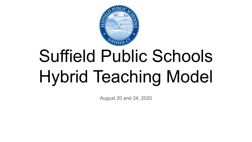

# Suffield Public Schools Hybrid Teaching Model

August 20 and 24, 2020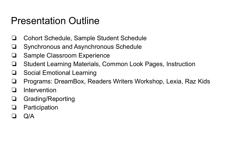### Presentation Outline

- ❏ Cohort Schedule, Sample Student Schedule
- ❏ Synchronous and Asynchronous Schedule
- ❏ Sample Classroom Experience
- ❏ Student Learning Materials, Common Look Pages, Instruction
- ❏ Social Emotional Learning
- ❏ Programs: DreamBox, Readers Writers Workshop, Lexia, Raz Kids
- ❏ Intervention
- ❏ Grading/Reporting
- ❏ Participation
- ❏ Q/A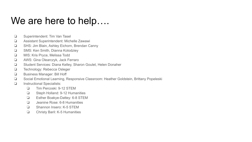### We are here to help....

- ❏ Superintendent: Tim Van Tasel
- ❏ Assistant Superintendent: Michelle Zawawi
- ❏ SHS: Jim Blain, Ashley Eichorn, Brendan Canny
- ❏ SMS: Ken Smith, Dianna Kolodziey
- ❏ MIS: Kris Pryce, Melissa Todd
- ❏ AWS: Gina Olearczyk, Jack Ferraro
- ❏ Student Services: Diana Kelley, Sharon Goulet, Helen Donaher
- ❏ Technology: Rebecca Osleger
- ❏ Business Manager: Bill Hoff
- ❏ Social Emotional Learning, Responsive Classroom: Heather Goldstein, Brittany Popeleski
- ❏ Instructional Specialists:
	- ❏ Tim Percoski: 9-12 STEM
	- ❏ Steph Holland: 9-12 Humanities
	- ❏ Esther Boakye-Dattey: 6-8 STEM
	- ❏ Jeanine Rose: 6-8 Humanities
	- ❏ Shannon Insero: K-5 STEM
	- ❏ Christy Baril: K-5 Humanities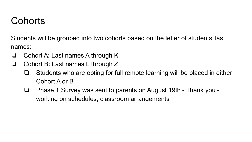### **Cohorts**

Students will be grouped into two cohorts based on the letter of students' last names:

- ❏ Cohort A: Last names A through K
- ❏ Cohort B: Last names L through Z
	- ❏ Students who are opting for full remote learning will be placed in either Cohort A or B
	- ❏ Phase 1 Survey was sent to parents on August 19th Thank you working on schedules, classroom arrangements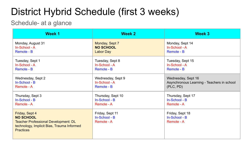## District Hybrid Schedule (first 3 weeks)

### Schedule- at a glance

| Week 1                                                                                                                                       | <b>Week 2</b>                                  | Week 3                                         |
|----------------------------------------------------------------------------------------------------------------------------------------------|------------------------------------------------|------------------------------------------------|
| Monday, August 31                                                                                                                            | Monday, Sept 7                                 | Monday, Sept 14                                |
| In-School - A                                                                                                                                | <b>NO SCHOOL</b>                               | In-School - A                                  |
| Remote - B                                                                                                                                   | Labor Day                                      | Remote - B                                     |
| Tuesday, Sept 1                                                                                                                              | Tuesday, Sept 8                                | Tuesday, Sept 15                               |
| In-School - A                                                                                                                                | In-School - A                                  | In-School - A                                  |
| Remote - B                                                                                                                                   | Remote - B                                     | Remote - B                                     |
| Wednesday, Sept 2                                                                                                                            | Wednesday, Sept 9                              | Wednesday, Sept 16                             |
| In-School - B                                                                                                                                | In-School - A                                  | Asynchronous Learning - Teachers in school     |
| Remote - A                                                                                                                                   | Remote - B                                     | (PLC, PD)                                      |
| Thursday, Sept 3                                                                                                                             | Thursday, Sept 10                              | Thursday, Sept 17                              |
| In-School - B                                                                                                                                | In-School - B                                  | In-School - B                                  |
| Remote - A                                                                                                                                   | Remote - A                                     | Remote - A                                     |
| Friday, Sept 4<br><b>NO SCHOOL</b><br>Teacher Professional Development: DL<br>technology, Implicit Bias, Trauma Informed<br><b>Practices</b> | Friday, Sept 11<br>In-School - B<br>Remote - A | Friday, Sept 18<br>In-School - B<br>Remote - A |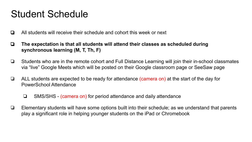### Student Schedule

- ❏ All students will receive their schedule and cohort this week or next
- ❏ **The expectation is that all students will attend their classes as scheduled during synchronous learning (M, T, Th, F)**
- ❏ Students who are in the remote cohort and Full Distance Learning will join their in-school classmates via "live" Google Meets which will be posted on their Google classroom page or SeeSaw page
- ❏ ALL students are expected to be ready for attendance (camera on) at the start of the day for PowerSchool Attendance
	- ❏ SMS/SHS (camera on) for period attendance and daily attendance
- ❏ Elementary students will have some options built into their schedule; as we understand that parents play a significant role in helping younger students on the iPad or Chromebook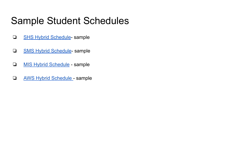### Sample Student Schedules

- ❏ [SHS Hybrid Schedule-](https://docs.google.com/document/d/1KubNmvD6NbMek6XPD2LNsSzCrdl1iYhpBHuTNFB-VJc/edit?usp=sharing) sample
- ❏ [SMS Hybrid Schedule](https://docs.google.com/document/d/1X8ogRWk48G4m5ncnZ93OTiT6O8SWTwOL_f19dz7aza8/edit?usp=sharing) sample
- ❏ [MIS Hybrid Schedule](https://docs.google.com/document/d/1lVFhTsKgjWoSuPD9CbRpksit36DBVMxxQcAfVL1IEiQ/edit?usp=sharing)  sample
- ❏ [AWS Hybrid Schedule](https://docs.google.com/document/d/1L-3R9qr4laCC6SO9XNkeKnLRhjhIko1-TmYLR2mxH2g/edit?usp=sharing)  sample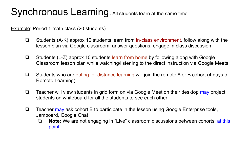## Synchronous Learning **-** All students learn at the same time

Example: Period 1 math class (20 students)

- ❏ Students (A-K) approx 10 students learn from in-class environment, follow along with the lesson plan via Google classroom, answer questions, engage in class discussion
- ❏ Students (L-Z) approx 10 students learn from home by following along with Google Classroom lesson plan while watching/listening to the direct instruction via Google Meets
- ❏ Students who are opting for distance learning will join the remote A or B cohort (4 days of Remote Learning)
- ❏ Teacher will view students in grid form on via Google Meet on their desktop may project students on whiteboard for all the students to see each other
- ❏ Teacher may ask cohort B to participate in the lesson using Google Enterprise tools, Jamboard, Google Chat
	- ❏ **Note:** We are not engaging in "Live" classroom discussions between cohorts, at this point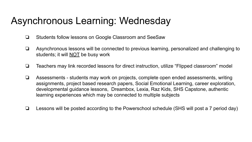### Asynchronous Learning: Wednesday

- ❏ Students follow lessons on Google Classroom and SeeSaw
- ❏ Asynchronous lessons will be connected to previous learning, personalized and challenging to students; it will **NOT** be busy work
- ❏ Teachers may link recorded lessons for direct instruction, utilize "Flipped classroom" model
- ❏ Assessments students may work on projects, complete open ended assessments, writing assignments, project based research papers, Social Emotional Learning, career exploration, developmental guidance lessons, Dreambox, Lexia, Raz Kids, SHS Capstone, authentic learning experiences which may be connected to multiple subjects
- ❏ Lessons will be posted according to the Powerschool schedule (SHS will post a 7 period day)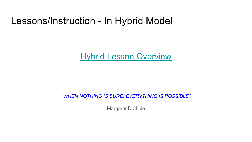### Lessons/Instruction - In Hybrid Model

### [Hybrid Lesson Overview](https://www.wevideo.com/view/1795330840)

*"WHEN NOTHING IS SURE, EVERYTHING IS POSSIBLE"*

Margaret Drabble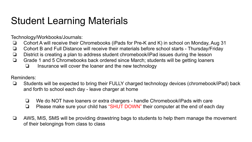## Student Learning Materials

Technology/Workbooks/Journals:

- ❏ Cohort A will receive their Chromebooks (iPads for Pre-K and K) in school on Monday, Aug 31
- ❏ Cohort B and Full Distance will receive their materials before school starts Thursday/Friday
- ❏ District is creating a plan to address student chromebook/iPad issues during the lesson
- ❏ Grade 1 and 5 Chromebooks back ordered since March; students will be getting loaners
	- ❏ Insurance will cover the loaner and the new technology

#### Reminders:

- ❏ Students will be expected to bring their FULLY charged technology devices (chromebook/iPad) back and forth to school each day - leave charger at home
	- ❏ We do NOT have loaners or extra chargers handle Chromebook/iPads with care
	- ❏ Please make sure your child has "SHUT DOWN" their computer at the end of each day
- ❏ AWS, MIS, SMS will be providing drawstring bags to students to help them manage the movement of their belongings from class to class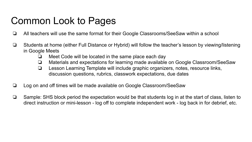## Common Look to Pages

- ❏ All teachers will use the same format for their Google Classrooms/SeeSaw within a school
- ❏ Students at home (either Full Distance or Hybrid) will follow the teacher's lesson by viewing/listening in Google Meets
	- ❏ Meet Code will be located in the same place each day
	- ❏ Materials and expectations for learning made available on Google Classroom/SeeSaw
	- ❏ Lesson Learning Template will include graphic organizers, notes, resource links, discussion questions, rubrics, classwork expectations, due dates
- ❏ Log on and off times will be made available on Google Classroom/SeeSaw
- ❏ Sample: SHS block period the expectation would be that students log in at the start of class, listen to direct instruction or mini-lesson - log off to complete independent work - log back in for debrief, etc.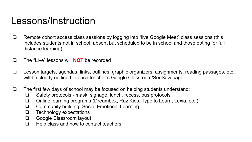### Lessons/Instruction

- ❏ Remote cohort access class sessions by logging into "live Google Meet" class sessions (this includes students not in school, absent but scheduled to be in school and those opting for full distance learning)
- ❏ The "Live" lessons will **NOT** be recorded
- ❏ Lesson targets, agendas, links, outlines, graphic organizers, assignments, reading passages, etc., will be clearly outlined in each teacher's Google Classroom/SeeSaw page
- ❏ The first few days of school may be focused on helping students understand:
	- ❏ Safety protocols mask, signage, lunch, recess, bus protocols
	- ❏ Online learning programs (Dreambox, Raz Kids, Type to Learn, Lexia, etc.)
	- ❏ Community building- Social Emotional Learning
	- ❏ Technology expectations
	- ❏ Google Classroom layout
	- ❏ Help class and how to contact teachers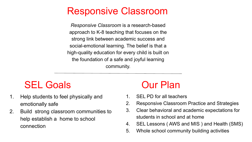### Responsive Classroom

*Responsive Classroom* is a research-based approach to K-8 teaching that focuses on the strong link between academic success and social-emotional learning. The belief is that a high-quality education for every child is built on the foundation of a safe and joyful learning community.

### SEL Goals **Our Plan**

- 1. Help students to feel physically and emotionally safe
- 2. Build strong classroom communities to help establish a home to school connection

- 1. SEL PD for all teachers
- 2. Responsive Classroom Practice and Strategies
- 3. Clear behavioral and academic expectations for students in school and at home
- 4. SEL Lessons ( AWS and MIS ) and Health (SMS)
- 5. Whole school community building activities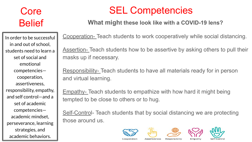## Core Belief

In order to be successful in and out of school, students need to learn a set of social and emotional competencies cooperation, assertiveness, responsibility, empathy, and self control—and a set of academic competencies academic mindset, perseverance, learning strategies, and academic behaviors.

## SEL Competencies

### **What might these look like with a COVID-19 lens?**

Cooperation- Teach students to work cooperatively while social distancing.

Assertion- Teach students how to be assertive by asking others to pull their masks up if necessary.

Responsibility- Teach students to have all materials ready for in person and virtual learning.

Empathy- Teach students to empathize with how hard it might being tempted to be close to others or to hug.

Self-Control- Teach students that by social distancing we are protecting those around us.







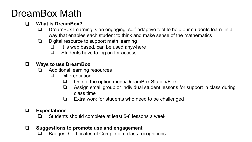### DreamBox Math

### ❏ **What is DreamBox?**

- ❏ DreamBox Learning is an engaging, self-adaptive tool to help our students learn in a way that enables each student to think and make sense of the mathematics
- ❏ Digital resource to support math learning
	- $\Box$  It is web based, can be used anywhere
	- ❏ Students have to log on for access

#### ❏ **Ways to use DreamBox**

- ❏ Additional learning resources
	- ❏ Differentiation
		- ❏ One of the option menu/DreamBox Station/Flex
		- ❏ Assign small group or individual student lessons for support in class during class time
		- ❏ Extra work for students who need to be challenged

### ❏ **Expectations**

❏ Students should complete at least 5-8 lessons a week

### ❏ **Suggestions to promote use and engagement**

❏ Badges, Certificates of Completion, class recognitions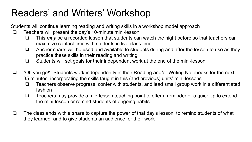## Readers' and Writers' Workshop

Students will continue learning reading and writing skills in a workshop model approach

- ❏ Teachers will present the day's 10-minute mini-lesson
	- ❏ This *may* be a recorded lesson that students can watch the night before so that teachers can maximize contact time with students in live class time
	- ❏ Anchor charts will be used and available to students during and after the lesson to use as they practice these skills in their reading and writing
	- ❏ Students will set goals for their independent work at the end of the mini-lesson
- ❏ "Off you go!": Students work independently in their Reading and/or Writing Notebooks for the next 35 minutes, incorporating the skills taught in this (and previous) units' mini-lessons
	- ❏ Teachers observe progress, confer with students, and lead small group work in a differentiated fashion
	- ❏ Teachers may provide a mid-lesson teaching point to offer a reminder or a quick tip to extend the mini-lesson or remind students of ongoing habits
- ❏ The class ends with a share to capture the power of that day's lesson, to remind students of what they learned, and to give students an audience for their work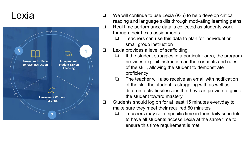### Lexia



- ❏ We will continue to use Lexia (K-5) to help develop critical reading and language skills through motivating learning paths
- ❏ Real time performance data is collected as students work through their Lexia assignments
	- ❏ Teachers can use this data to plan for individual or small group instruction
- ❏ Lexia provides a level of scaffolding
	- ❏ If the student struggles in a particular area, the program provides explicit instruction on the concepts and rules of the skill, allowing the student to demonstrate proficiency
	- ❏ The teacher will also receive an email with notification of the skill the student is struggling with as well as different activities/lessons the they can provide to guide the student toward mastery
- ❏ Students should log on for at least 15 minutes everyday to make sure they meet their required 60 minutes
	- ❏ Teachers may set a specific time in their daily schedule to have all students access Lexia at the same time to ensure this time requirement is met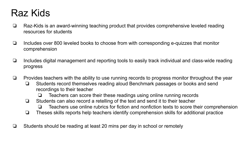### Raz Kids

- ❏ Raz-Kids is an award-winning teaching product that provides comprehensive leveled reading resources for students
- ❏ Includes over 800 leveled books to choose from with corresponding e-quizzes that monitor comprehension
- ❏ Includes digital management and reporting tools to easily track individual and class-wide reading progress
- ❏ Provides teachers with the ability to use running records to progress monitor throughout the year
	- ❏ Students record themselves reading aloud Benchmark passages or books and send recordings to their teacher
		- ❏ Teachers can score their these readings using online running records
	- ❏ Students can also record a retelling of the text and send it to their teacher
		- ❏ Teachers use online rubrics for fiction and nonfiction texts to score their comprehension
	- ❏ Theses skills reports help teachers identify comprehension skills for additional practice
- ❏ Students should be reading at least 20 mins per day in school or remotely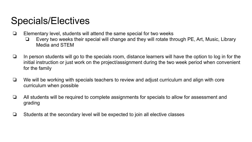### Specials/Electives

- ❏ Elementary level, students will attend the same special for two weeks
	- ❏ Every two weeks their special will change and they will rotate through PE, Art, Music, Library Media and STEM
- ❏ In person students will go to the specials room, distance learners will have the option to log in for the initial instruction or just work on the project/assignment during the two week period when convenient for the family
- ❏ We will be working with specials teachers to review and adjust curriculum and align with core curriculum when possible
- ❏ All students will be required to complete assignments for specials to allow for assessment and grading
- ❏ Students at the secondary level will be expected to join all elective classes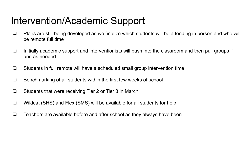### Intervention/Academic Support

- ❏ Plans are still being developed as we finalize which students will be attending in person and who will be remote full time
- ❏ Initially academic support and interventionists will push into the classroom and then pull groups if and as needed
- ❏ Students in full remote will have a scheduled small group intervention time
- ❏ Benchmarking of all students within the first few weeks of school
- ❏ Students that were receiving Tier 2 or Tier 3 in March
- ❏ Wildcat (SHS) and Flex (SMS) will be available for all students for help
- ❏ Teachers are available before and after school as they always have been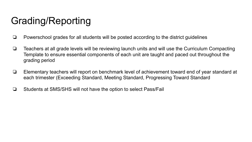## Grading/Reporting

- ❏ Powerschool grades for all students will be posted according to the district guidelines
- ❏ Teachers at all grade levels will be reviewing launch units and will use the Curriculum Compacting Template to ensure essential components of each unit are taught and paced out throughout the grading period
- ❏ Elementary teachers will report on benchmark level of achievement toward end of year standard at each trimester (Exceeding Standard, Meeting Standard, Progressing Toward Standard
- ❏ Students at SMS/SHS will not have the option to select Pass/Fail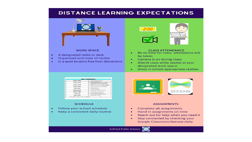#### **DISTANCE LEARNING EXPECTATIONS**



#### **WORK SPACE**

- A designated table or desk  $\bullet$
- Organized and clear of clutter
- In a quiet location free from distractions  $\bullet$



#### **CLASS ATTENDANCE**

- Be on time for class-attendance will  $\bullet$ be taken
- Camera is on during class ٠
- $\bullet$ Attend class while seated at your designated work space
- Dress in school appropriate clothes  $\bullet$



#### **SCHEDULE**

- Follow your school schedule  $\bullet$
- Keep a consistent daily routine



#### **ASSIGNMENTS**

- Complete all assignments  $\bullet$
- Hand in assignments on time  $\bullet$
- Reach out for help when you need it  $\bullet$
- Stay connected by checking your  $\bullet$ Google Classroom/Seesaw daily

**Suffield Public Schools**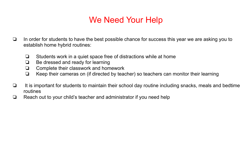### We Need Your Help

- ❏ In order for students to have the best possible chance for success this year we are asking you to establish home hybrid routines:
	- ❏ Students work in a quiet space free of distractions while at home
	- ❏ Be dressed and ready for learning
	- ❏ Complete their classwork and homework
	- ❏ Keep their cameras on (if directed by teacher) so teachers can monitor their learning
- ❏ It is important for students to maintain their school day routine including snacks, meals and bedtime routines
- ❏ Reach out to your child's teacher and administrator if you need help